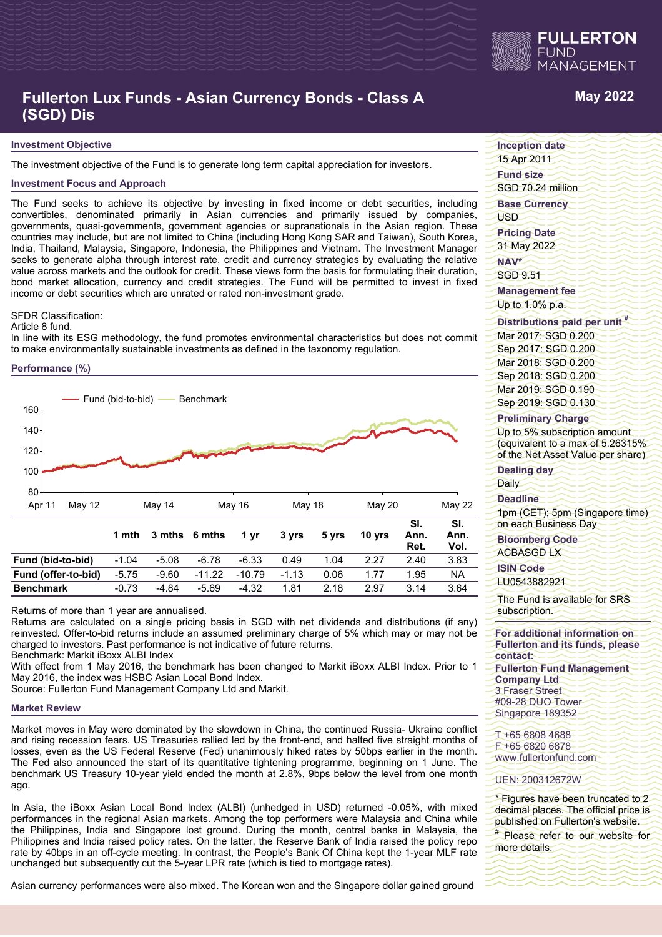

# **Fullerton Lux Funds - Asian Currency Bonds - Class A (SGD) Dis**

#### **Investment Objective**

The investment objective of the Fund is to generate long term capital appreciation for investors.

#### **Investment Focus and Approach**

The Fund seeks to achieve its objective by investing in fixed income or debt securities, including convertibles, denominated primarily in Asian currencies and primarily issued by companies, governments, quasi-governments, government agencies or supranationals in the Asian region. These countries may include, but are not limited to China (including Hong Kong SAR and Taiwan), South Korea, India, Thailand, Malaysia, Singapore, Indonesia, the Philippines and Vietnam. The Investment Manager seeks to generate alpha through interest rate, credit and currency strategies by evaluating the relative value across markets and the outlook for credit. These views form the basis for formulating their duration, bond market allocation, currency and credit strategies. The Fund will be permitted to invest in fixed income or debt securities which are unrated or rated non-investment grade.

### SFDR Classification:

Article 8 fund.

In line with its ESG methodology, the fund promotes environmental characteristics but does not commit to make environmentally sustainable investments as defined in the taxonomy regulation.

#### **Performance (%)**



Returns of more than 1 year are annualised.

Returns are calculated on a single pricing basis in SGD with net dividends and distributions (if any) reinvested. Offer-to-bid returns include an assumed preliminary charge of 5% which may or may not be charged to investors. Past performance is not indicative of future returns.

**Benchmark** -0.73 -4.84 -5.69 -4.32 1.81 2.18 2.97 3.14 3.64

Benchmark: Markit iBoxx ALBI Index

With effect from 1 May 2016, the benchmark has been changed to Markit iBoxx ALBI Index. Prior to 1 May 2016, the index was HSBC Asian Local Bond Index.

Source: Fullerton Fund Management Company Ltd and Markit.

#### **Market Review**

Market moves in May were dominated by the slowdown in China, the continued Russia- Ukraine conflict and rising recession fears. US Treasuries rallied led by the front-end, and halted five straight months of losses, even as the US Federal Reserve (Fed) unanimously hiked rates by 50bps earlier in the month. The Fed also announced the start of its quantitative tightening programme, beginning on 1 June. The benchmark US Treasury 10-year yield ended the month at 2.8%, 9bps below the level from one month ago.

In Asia, the iBoxx Asian Local Bond Index (ALBI) (unhedged in USD) returned -0.05%, with mixed performances in the regional Asian markets. Among the top performers were Malaysia and China while the Philippines, India and Singapore lost ground. During the month, central banks in Malaysia, the Philippines and India raised policy rates. On the latter, the Reserve Bank of India raised the policy repo rate by 40bps in an off-cycle meeting. In contrast, the People's Bank Of China kept the 1-year MLF rate unchanged but subsequently cut the 5-year LPR rate (which is tied to mortgage rates).

Asian currency performances were also mixed. The Korean won and the Singapore dollar gained ground

# **May 2022**

**Inception date**

15 Apr 2011 **Fund size**

SGD 70.24 million

**Base Currency**

USD

**Pricing Date** 31 May 2022

**NAV\***

SGD 9.51 **Management fee**

Up to 1.0% p.a.

## **Distributions paid per unit #**

Mar 2017: SGD 0.200 Sep 2017: SGD 0.200 Mar 2018: SGD 0.200 Sep 2018: SGD 0.200 Mar 2019: SGD 0.190 Sep 2019: SGD 0.130

#### **Preliminary Charge**

Up to 5% subscription amount (equivalent to a max of 5.26315% of the Net Asset Value per share)

**Dealing day** Daily

#### **Deadline**

1pm (CET); 5pm (Singapore time) on each Business Day

# **Bloomberg Code**

ACBASGD LX

**ISIN Code**

LU0543882921

The Fund is available for SRS subscription.

**For additional information on Fullerton and its funds, please contact:**

**Fullerton Fund Management Company Ltd** 3 Fraser Street #09-28 DUO Tower Singapore 189352

T +65 6808 4688 F +65 6820 6878 www.fullertonfund.com

#### UEN: 200312672W

\* Figures have been truncated to 2 decimal places. The official price is published on Fullerton's website.

# Please refer to our website for more details.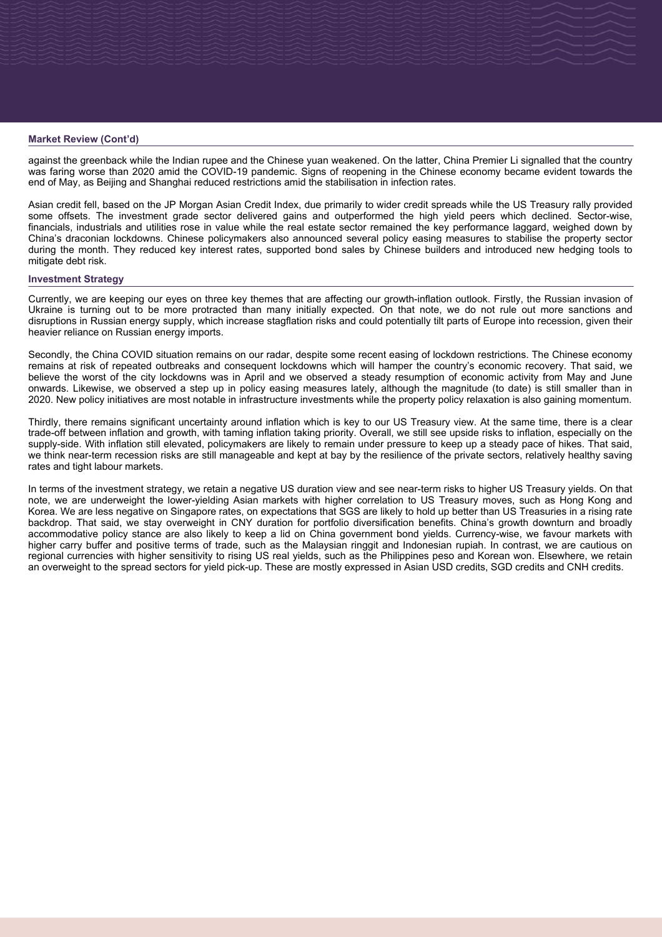### **Market Review (Cont'd)**

against the greenback while the Indian rupee and the Chinese yuan weakened. On the latter, China Premier Li signalled that the country was faring worse than 2020 amid the COVID-19 pandemic. Signs of reopening in the Chinese economy became evident towards the end of May, as Beijing and Shanghai reduced restrictions amid the stabilisation in infection rates.

Asian credit fell, based on the JP Morgan Asian Credit Index, due primarily to wider credit spreads while the US Treasury rally provided some offsets. The investment grade sector delivered gains and outperformed the high vield peers which declined. Sector-wise. financials, industrials and utilities rose in value while the real estate sector remained the key performance laggard, weighed down by China's draconian lockdowns. Chinese policymakers also announced several policy easing measures to stabilise the property sector during the month. They reduced key interest rates, supported bond sales by Chinese builders and introduced new hedging tools to mitigate debt risk.

### **Investment Strategy**

Currently, we are keeping our eyes on three key themes that are affecting our growth-inflation outlook. Firstly, the Russian invasion of Ukraine is turning out to be more protracted than many initially expected. On that note, we do not rule out more sanctions and disruptions in Russian energy supply, which increase stagflation risks and could potentially tilt parts of Europe into recession, given their heavier reliance on Russian energy imports.

Secondly, the China COVID situation remains on our radar, despite some recent easing of lockdown restrictions. The Chinese economy remains at risk of repeated outbreaks and consequent lockdowns which will hamper the country's economic recovery. That said, we believe the worst of the city lockdowns was in April and we observed a steady resumption of economic activity from May and June onwards. Likewise, we observed a step up in policy easing measures lately, although the magnitude (to date) is still smaller than in 2020. New policy initiatives are most notable in infrastructure investments while the property policy relaxation is also gaining momentum.

Thirdly, there remains significant uncertainty around inflation which is key to our US Treasury view. At the same time, there is a clear trade-off between inflation and growth, with taming inflation taking priority. Overall, we still see upside risks to inflation, especially on the supply-side. With inflation still elevated, policymakers are likely to remain under pressure to keep up a steady pace of hikes. That said, we think near-term recession risks are still manageable and kept at bay by the resilience of the private sectors, relatively healthy saving rates and tight labour markets.

In terms of the investment strategy, we retain a negative US duration view and see near-term risks to higher US Treasury yields. On that note, we are underweight the lower-vielding Asian markets with higher correlation to US Treasury moves, such as Hong Kong and Korea. We are less negative on Singapore rates, on expectations that SGS are likely to hold up better than US Treasuries in a rising rate backdrop. That said, we stay overweight in CNY duration for portfolio diversification benefits. China's growth downturn and broadly accommodative policy stance are also likely to keep a lid on China government bond yields. Currency-wise, we favour markets with higher carry buffer and positive terms of trade, such as the Malaysian ringgit and Indonesian rupiah. In contrast, we are cautious on regional currencies with higher sensitivity to rising US real yields, such as the Philippines peso and Korean won. Elsewhere, we retain an overweight to the spread sectors for yield pick-up. These are mostly expressed in Asian USD credits, SGD credits and CNH credits.